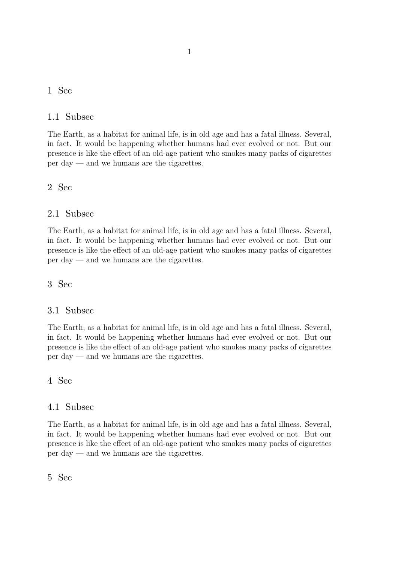### 1 Sec

### 1.1 Subsec

The Earth, as a habitat for animal life, is in old age and has a fatal illness. Several, in fact. It would be happening whether humans had ever evolved or not. But our presence is like the effect of an old-age patient who smokes many packs of cigarettes per day — and we humans are the cigarettes.

### 2 Sec

# 2.1 Subsec

The Earth, as a habitat for animal life, is in old age and has a fatal illness. Several, in fact. It would be happening whether humans had ever evolved or not. But our presence is like the effect of an old-age patient who smokes many packs of cigarettes per day — and we humans are the cigarettes.

### 3 Sec

# 3.1 Subsec

The Earth, as a habitat for animal life, is in old age and has a fatal illness. Several, in fact. It would be happening whether humans had ever evolved or not. But our presence is like the effect of an old-age patient who smokes many packs of cigarettes per day — and we humans are the cigarettes.

4 Sec

### 4.1 Subsec

The Earth, as a habitat for animal life, is in old age and has a fatal illness. Several, in fact. It would be happening whether humans had ever evolved or not. But our presence is like the effect of an old-age patient who smokes many packs of cigarettes per day — and we humans are the cigarettes.

### 5 Sec